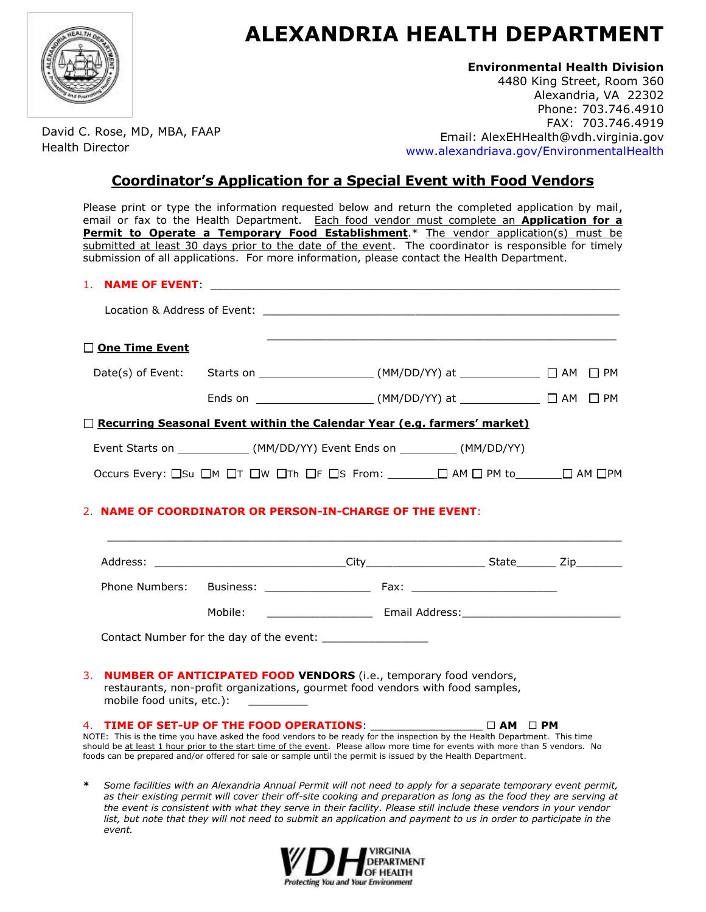

## **ALEXANDRIA HEALTH DEPARTMENT**

## **Environmental Health Division**

4480 King Street, Room 360 Alexandria, VA 22302 Phone: 703.746.4910 FAX: 703.746.4919 Email: AlexEHHealth@vdh.virginia.gov<br>Email: AlexEHHealth@vdh.virginia.gov<br>Nava alexandriava.gov/EnvironmentalHealth [www.alexandriava.gov/EnvironmentalHealth](http://www.alexandriava.gov/EnvironmentalHealth)

**Coordinator's Application for a Special Event with Food Vendors**

Please print or type the information requested below and return the completed application by mail, email or fax to the Health Department. Each food vendor must complete an **Application for a Permit to Operate a Temporary Food Establishment**.\* The vendor application(s) must be submitted at least 30 days prior to the date of the event. The coordinator is responsible for timely submission of all applications. For more information, please contact the Health Department.

## 1. **NAME OF EVENT:**

*event.*

| One Time Event            |                                                                                                                                                                                                                                                                                                                                                                                                                                                    |  |  |
|---------------------------|----------------------------------------------------------------------------------------------------------------------------------------------------------------------------------------------------------------------------------------------------------------------------------------------------------------------------------------------------------------------------------------------------------------------------------------------------|--|--|
| Date(s) of Event:         | Starts on ________________________(MM/DD/YY) at ______________ □ AM □ PM                                                                                                                                                                                                                                                                                                                                                                           |  |  |
|                           | Ends on ____________________________(MM/DD/YY) at ________________ □ AM □ PM                                                                                                                                                                                                                                                                                                                                                                       |  |  |
|                           | <b>Necurring Seasonal Event within the Calendar Year (e.g. farmers' market)</b>                                                                                                                                                                                                                                                                                                                                                                    |  |  |
|                           | Event Starts on ______________(MM/DD/YY) Event Ends on __________(MM/DD/YY)                                                                                                                                                                                                                                                                                                                                                                        |  |  |
|                           | Occurs Every: $\square$ Su $\square$ M $\square$ T $\square$ W $\square$ Th $\square$ F $\square$ S From: $\underline{\hspace{1cm}}$ $\square$ AM $\square$ PM to $\underline{\hspace{1cm}}$ AM $\square$ PM                                                                                                                                                                                                                                       |  |  |
|                           |                                                                                                                                                                                                                                                                                                                                                                                                                                                    |  |  |
|                           |                                                                                                                                                                                                                                                                                                                                                                                                                                                    |  |  |
|                           |                                                                                                                                                                                                                                                                                                                                                                                                                                                    |  |  |
| mobile food units, etc.): | 3. NUMBER OF ANTICIPATED FOOD VENDORS (i.e., temporary food vendors,<br>restaurants, non-profit organizations, gourmet food vendors with food samples,                                                                                                                                                                                                                                                                                             |  |  |
|                           | 4. TIME OF SET-UP OF THE FOOD OPERATIONS: $\square$ AM $\square$ PM<br>NOTE: This is the time you have asked the food vendors to be ready for the inspection by the Health Department. This time<br>should be at least 1 hour prior to the start time of the event. Please allow more time for events with more than 5 vendors. No<br>foods can be prepared and/or offered for sale or sample until the permit is issued by the Health Department. |  |  |
| $\ast$                    | Some facilities with an Alexandria Annual Permit will not need to apply for a separate temporary event permit,<br>as their existing permit will cover their off-site cooking and preparation as long as the food they are serving at<br>the event is consistent with what they serve in their facility. Please still include these vendors in your vendor                                                                                          |  |  |



*list, but note that they will not need to submit an application and payment to us in order to participate in the*